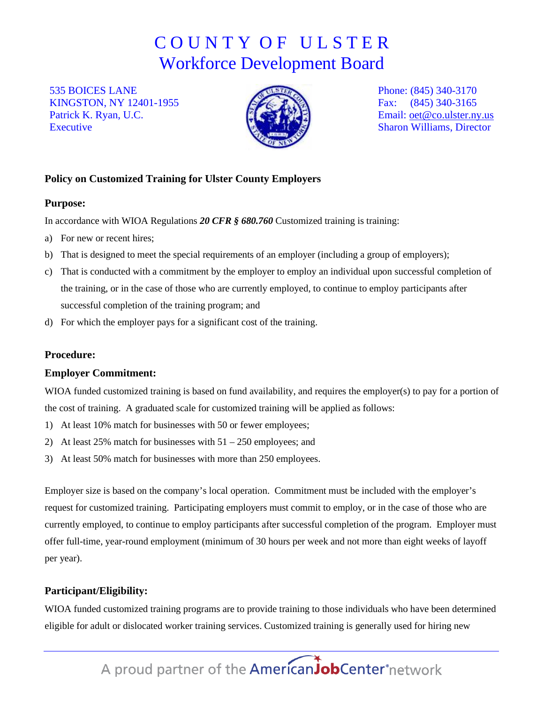### C O U N T Y O F U L S T E R Workforce Development Board

535 BOICES LANE KINGSTON, NY 12401-1955 Patrick K. Ryan, U.C. **Executive** 



Phone: (845) 340-3170 Fax: (845) 340-3165 Email: [oet@co.ulster.ny.us](mailto:oet@co.ulster.ny.us) Sharon Williams, Director

### **Policy on Customized Training for Ulster County Employers**

#### **Purpose:**

In accordance with WIOA Regulations *20 CFR § 680.760* Customized training is training:

- a) For new or recent hires;
- b) That is designed to meet the special requirements of an employer (including a group of employers);
- c) That is conducted with a commitment by the employer to employ an individual upon successful completion of the training, or in the case of those who are currently employed, to continue to employ participants after successful completion of the training program; and
- d) For which the employer pays for a significant cost of the training.

### **Procedure:**

### **Employer Commitment:**

WIOA funded customized training is based on fund availability, and requires the employer(s) to pay for a portion of the cost of training. A graduated scale for customized training will be applied as follows:

- 1) At least 10% match for businesses with 50 or fewer employees;
- 2) At least 25% match for businesses with 51 250 employees; and
- 3) At least 50% match for businesses with more than 250 employees.

Employer size is based on the company's local operation. Commitment must be included with the employer's request for customized training. Participating employers must commit to employ, or in the case of those who are currently employed, to continue to employ participants after successful completion of the program. Employer must offer full-time, year-round employment (minimum of 30 hours per week and not more than eight weeks of layoff per year).

### **Participant/Eligibility:**

WIOA funded customized training programs are to provide training to those individuals who have been determined eligible for adult or dislocated worker training services. Customized training is generally used for hiring new

# A proud partner of the AmericanJobCenter<sup>®</sup>network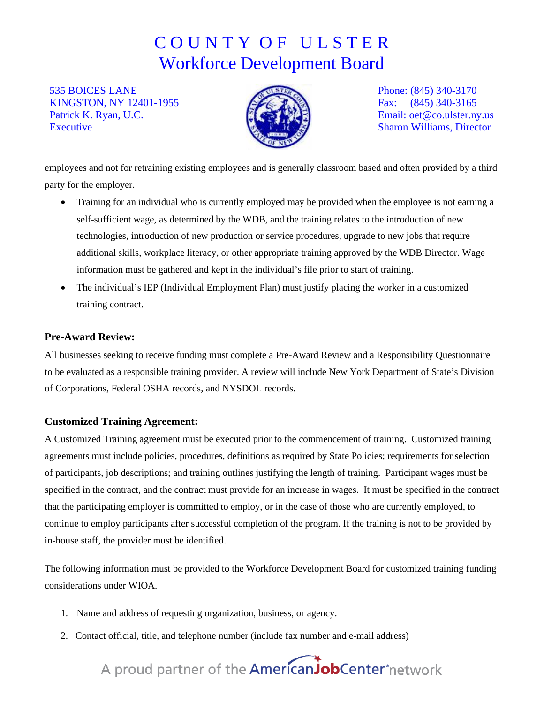### C O U N T Y O F U L S T E R Workforce Development Board

535 BOICES LANE KINGSTON, NY 12401-1955 Patrick K. Ryan, U.C. **Executive** 



Phone: (845) 340-3170 Fax: (845) 340-3165 Email: [oet@co.ulster.ny.us](mailto:oet@co.ulster.ny.us) Sharon Williams, Director

employees and not for retraining existing employees and is generally classroom based and often provided by a third party for the employer.

- Training for an individual who is currently employed may be provided when the employee is not earning a self-sufficient wage, as determined by the WDB, and the training relates to the introduction of new technologies, introduction of new production or service procedures, upgrade to new jobs that require additional skills, workplace literacy, or other appropriate training approved by the WDB Director. Wage information must be gathered and kept in the individual's file prior to start of training.
- The individual's IEP (Individual Employment Plan) must justify placing the worker in a customized training contract.

#### **Pre-Award Review:**

All businesses seeking to receive funding must complete a Pre-Award Review and a Responsibility Questionnaire to be evaluated as a responsible training provider. A review will include New York Department of State's Division of Corporations, Federal OSHA records, and NYSDOL records.

#### **Customized Training Agreement:**

A Customized Training agreement must be executed prior to the commencement of training. Customized training agreements must include policies, procedures, definitions as required by State Policies; requirements for selection of participants, job descriptions; and training outlines justifying the length of training. Participant wages must be specified in the contract, and the contract must provide for an increase in wages. It must be specified in the contract that the participating employer is committed to employ, or in the case of those who are currently employed, to continue to employ participants after successful completion of the program. If the training is not to be provided by in-house staff, the provider must be identified.

The following information must be provided to the Workforce Development Board for customized training funding considerations under WIOA.

- 1. Name and address of requesting organization, business, or agency.
- 2. Contact official, title, and telephone number (include fax number and e-mail address)

# A proud partner of the AmericanJobCenter<sup>\*</sup>network